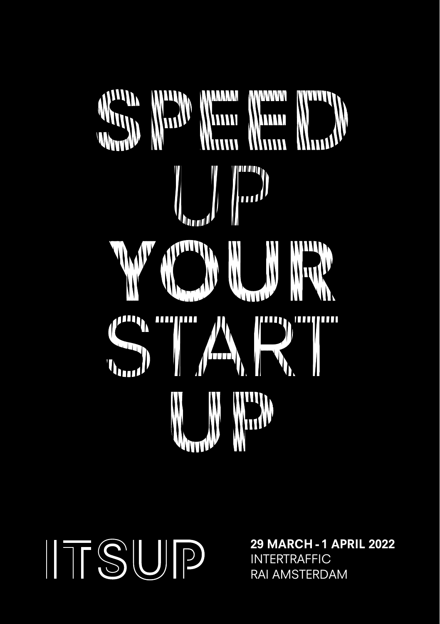

ITSUP

29 MARCH - 1 APRIL 2022 INTERTRAFFIC RAI AMSTERDAM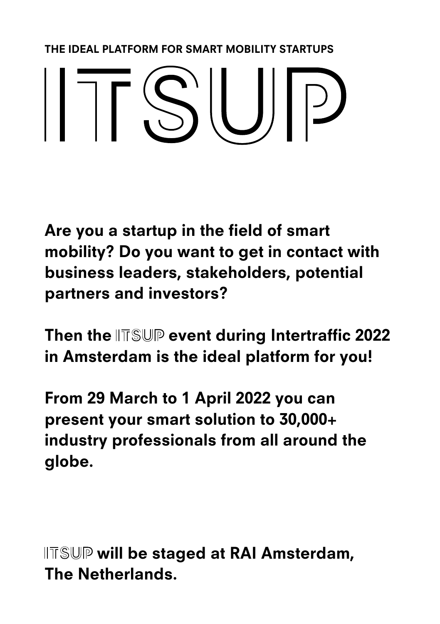THE IDEAL PLATFORM FOR SMART MOBILITY STARTUPS

## $||\bigcap \mathsf{S}'|| \bigcup |P$

Are you a startup in the field of smart mobility? Do you want to get in contact with business leaders, stakeholders, potential partners and investors?

Then the  $\mathbb{ITSUP}$  event during Intertraffic 2022 in Amsterdam is the ideal platform for you!

From 29 March to 1 April 2022 you can present your smart solution to 30,000+ industry professionals from all around the globe.

 $\parallel$ TSUP will be staged at RAI Amsterdam, The Netherlands.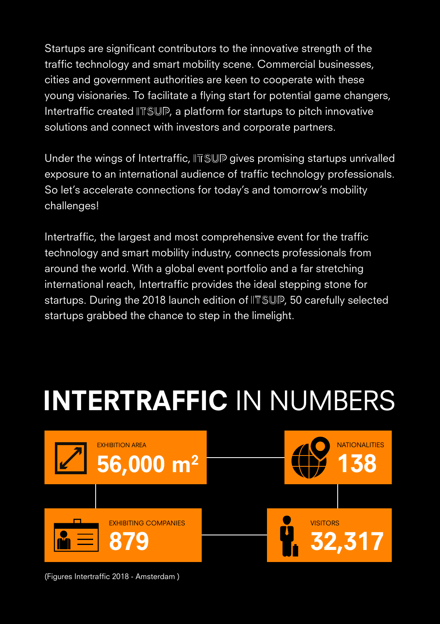Startups are significant contributors to the innovative strength of the traffic technology and smart mobility scene. Commercial businesses, cities and government authorities are keen to cooperate with these young visionaries. To facilitate a flying start for potential game changers, Intertraffic created IITSUP, a platform for startups to pitch innovative solutions and connect with investors and corporate partners.

Under the wings of Intertraffic,  $\|\overline{\mathbb{T}}\mathbb{S}\mathbb{U}\mathbb{P}$  gives promising startups unrivalled exposure to an international audience of traffic technology professionals. So let's accelerate connections for today's and tomorrow's mobility challenges!

Intertraffic, the largest and most comprehensive event for the traffic technology and smart mobility industry, connects professionals from around the world. With a global event portfolio and a far stretching international reach, Intertraffic provides the ideal stepping stone for startups. During the 2018 launch edition of IITSUP, 50 carefully selected startups grabbed the chance to step in the limelight.

## INTERTRAFFIC IN NUMBERS



(Figures Intertraffic 2018 - Amsterdam )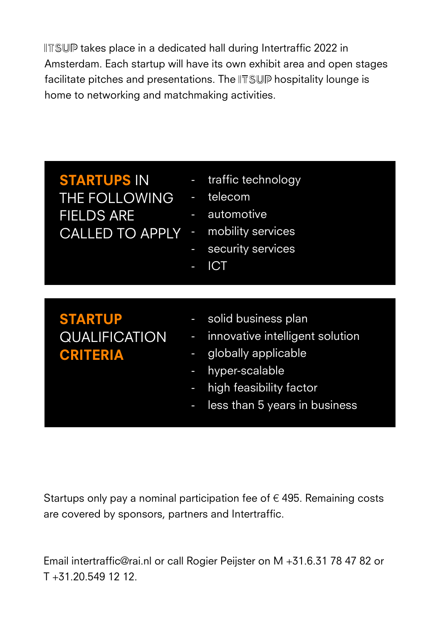IITSUP takes place in a dedicated hall during Intertraffic 2022 in Amsterdam. Each startup will have its own exhibit area and open stages facilitate pitches and presentations. The ITSUP hospitality lounge is home to networking and matchmaking activities.

STARTUPS IN THE FOLLOWING FIELDS ARE CALLED TO APPLY - mobility services

- traffic technology
- telecom
- automotive
- 
- security services
- **ICT**

## STARTUP QUALIFICATION CRITERIA

- solid business plan
- innovative intelligent solution
- globally applicable
- hyper-scalable
- high feasibility factor
- less than 5 years in business

Startups only pay a nominal participation fee of  $\epsilon$  495. Remaining costs are covered by sponsors, partners and Intertraffic.

Email intertraffic@rai.nl or call Rogier Peijster on M +31.6.31 78 47 82 or T +31.20.549 12 12.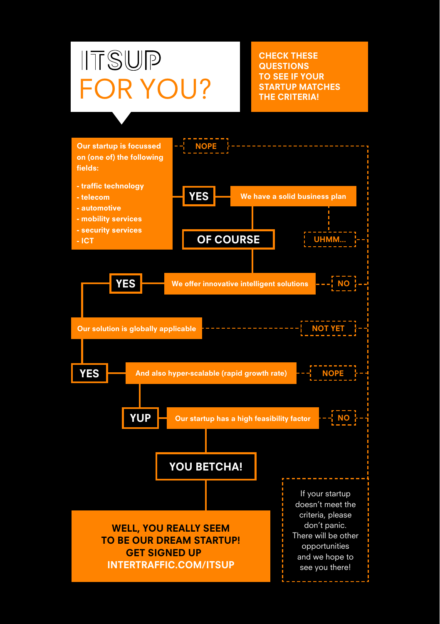## $\Pi$ TSUP FOR YOU? STARTUP MATCHES

CHECK THESE **QUESTIONS** TO SEE IF YOUR<br>STARTUP MATCHES